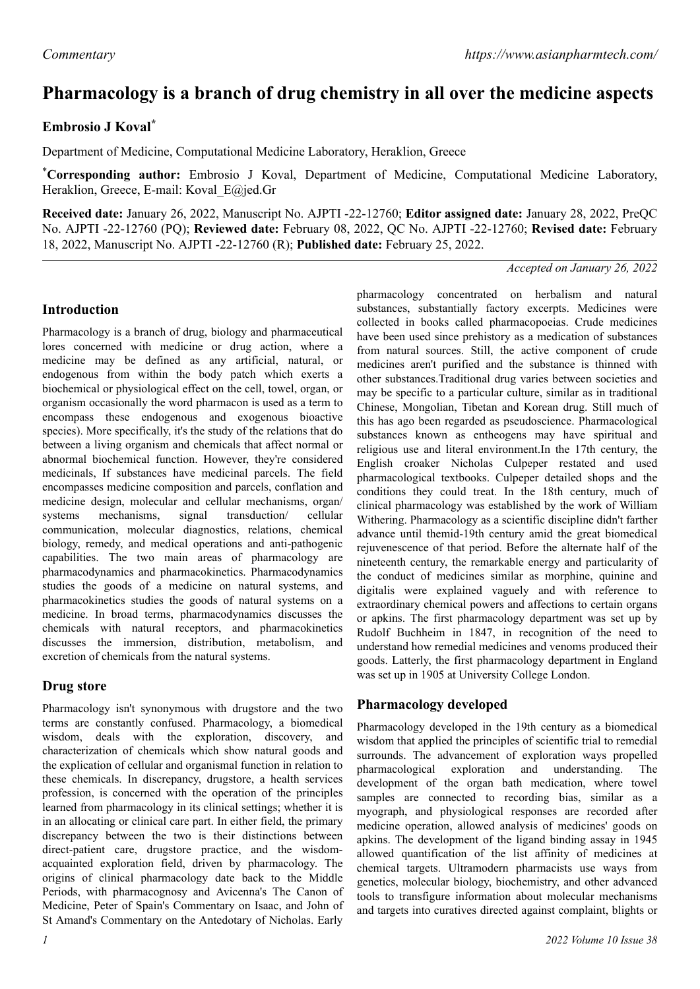# **Pharmacology is a branch of drug chemistry in all over the medicine aspects**

## **Embrosio J Koval\***

Department of Medicine, Computational Medicine Laboratory, Heraklion, Greece

\***Corresponding author:** Embrosio J Koval, Department of Medicine, Computational Medicine Laboratory, Heraklion, Greece, E-mail: Koval E@jed.Gr

**Received date:** January 26, 2022, Manuscript No. AJPTI -22-12760; **Editor assigned date:** January 28, 2022, PreQC No. AJPTI -22-12760 (PQ); **Reviewed date:** February 08, 2022, QC No. AJPTI -22-12760; **Revised date:** February 18, 2022, Manuscript No. AJPTI -22-12760 (R); **Published date:** February 25, 2022.

#### *Accepted on January 26, 2022*

#### **Introduction**

Pharmacology is a branch of drug, biology and pharmaceutical lores concerned with medicine or drug action, where a medicine may be defined as any artificial, natural, or endogenous from within the body patch which exerts a biochemical or physiological effect on the cell, towel, organ, or organism occasionally the word pharmacon is used as a term to encompass these endogenous and exogenous bioactive species). More specifically, it's the study of the relations that do between a living organism and chemicals that affect normal or abnormal biochemical function. However, they're considered medicinals, If substances have medicinal parcels. The field encompasses medicine composition and parcels, conflation and medicine design, molecular and cellular mechanisms, organ/ systems mechanisms, signal transduction/ cellular communication, molecular diagnostics, relations, chemical biology, remedy, and medical operations and anti-pathogenic capabilities. The two main areas of pharmacology are pharmacodynamics and pharmacokinetics. Pharmacodynamics studies the goods of a medicine on natural systems, and pharmacokinetics studies the goods of natural systems on a medicine. In broad terms, pharmacodynamics discusses the chemicals with natural receptors, and pharmacokinetics discusses the immersion, distribution, metabolism, and excretion of chemicals from the natural systems.

## **Drug store**

Pharmacology isn't synonymous with drugstore and the two terms are constantly confused. Pharmacology, a biomedical wisdom, deals with the exploration, discovery, and characterization of chemicals which show natural goods and the explication of cellular and organismal function in relation to these chemicals. In discrepancy, drugstore, a health services profession, is concerned with the operation of the principles learned from pharmacology in its clinical settings; whether it is in an allocating or clinical care part. In either field, the primary discrepancy between the two is their distinctions between direct-patient care, drugstore practice, and the wisdomacquainted exploration field, driven by pharmacology. The origins of clinical pharmacology date back to the Middle Periods, with pharmacognosy and Avicenna's The Canon of Medicine, Peter of Spain's Commentary on Isaac, and John of St Amand's Commentary on the Antedotary of Nicholas. Early

pharmacology concentrated on herbalism and natural substances, substantially factory excerpts. Medicines were collected in books called pharmacopoeias. Crude medicines have been used since prehistory as a medication of substances from natural sources. Still, the active component of crude medicines aren't purified and the substance is thinned with other substances.Traditional drug varies between societies and may be specific to a particular culture, similar as in traditional Chinese, Mongolian, Tibetan and Korean drug. Still much of this has ago been regarded as pseudoscience. Pharmacological substances known as entheogens may have spiritual and religious use and literal environment.In the 17th century, the English croaker Nicholas Culpeper restated and used pharmacological textbooks. Culpeper detailed shops and the conditions they could treat. In the 18th century, much of clinical pharmacology was established by the work of William Withering. Pharmacology as a scientific discipline didn't farther advance until themid-19th century amid the great biomedical rejuvenescence of that period. Before the alternate half of the nineteenth century, the remarkable energy and particularity of the conduct of medicines similar as morphine, quinine and digitalis were explained vaguely and with reference to extraordinary chemical powers and affections to certain organs or apkins. The first pharmacology department was set up by Rudolf Buchheim in 1847, in recognition of the need to understand how remedial medicines and venoms produced their goods. Latterly, the first pharmacology department in England was set up in 1905 at University College London.

## **Pharmacology developed**

Pharmacology developed in the 19th century as a biomedical wisdom that applied the principles of scientific trial to remedial surrounds. The advancement of exploration ways propelled pharmacological exploration and understanding. The development of the organ bath medication, where towel samples are connected to recording bias, similar as a myograph, and physiological responses are recorded after medicine operation, allowed analysis of medicines' goods on apkins. The development of the ligand binding assay in 1945 allowed quantification of the list affinity of medicines at chemical targets. Ultramodern pharmacists use ways from genetics, molecular biology, biochemistry, and other advanced tools to transfigure information about molecular mechanisms and targets into curatives directed against complaint, blights or